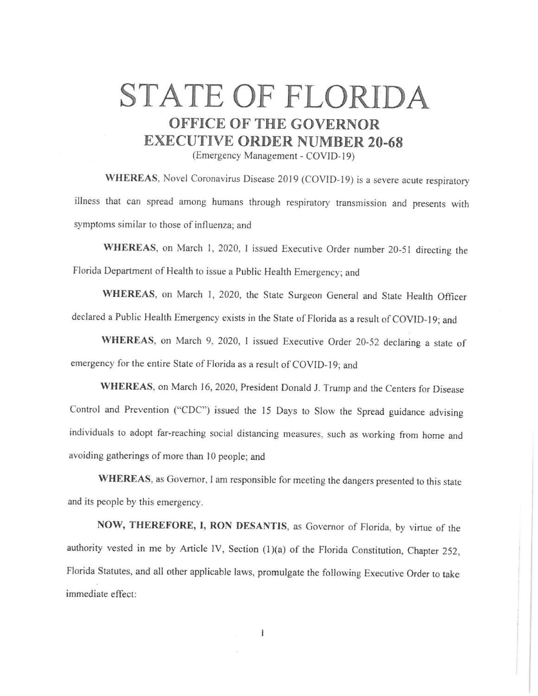## **STATE OF FLORIDA OFFICE OF THE GOVERNOR EXECUTIVE ORDER NUMBER 20-68**

(Emergency Management - COVID-19)

**WHEREAS,** Novel Coronavirus Disease 2019 (COVID-19) is a severe acute respiratory illness that can spread among humans through respiratory transmission and presents with symptoms similar to those of influenza; and

**WHEREAS,** on March I, 2020, I issued Executive Order number 20-51 directing the Florida Department of Health to issue a Public Health Emergency; and

**WHEREAS,** on March I, 2020, the State Surgeon General and State Health Officer declared a Public Health Emergency exists in the State of Florida as a result of COVID-19; and

**WHEREAS,** on March 9, 2020, I issued Executive Order 20-52 declaring a state of emergency for the entire State of Florida as a result of COVID-19; and

**WHEREAS,** on March 16, 2020, President Donald J. Trump and the Centers for Disease Control and Prevention ("CDC") issued the 15 Days to Slow the Spread guidance advising individuals to adopt far-reaching social distancing measures, such as working from home and avoiding gatherings of more than IO people; and

**WHEREAS,** as Governor, I am responsible for meeting the dangers presented to this state and its people by this emergency.

**NOW, THEREFORE, I, RON DESANTIS,** as Governor of Florida, by virtue of the authority vested in me by Article IV, Section (1)(a) of the Florida Constitution, Chapter 252, Florida Statutes, and all other applicable laws, promulgate the following Executive Order to take immediate effect: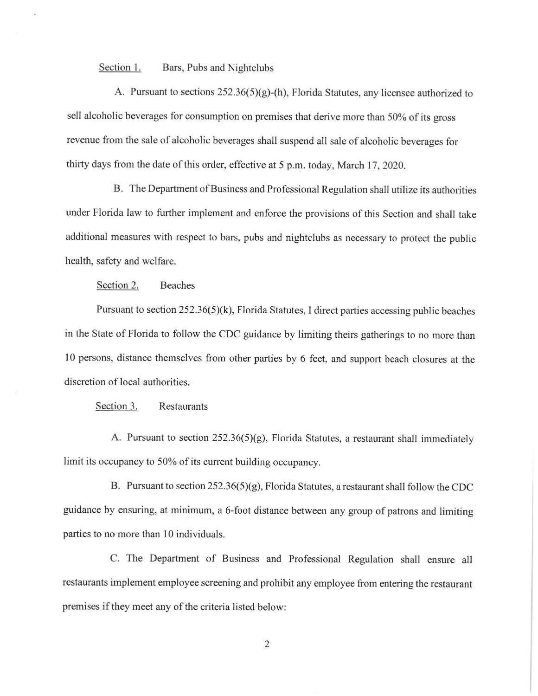Section 1. Bars, Pubs and Nightclubs

A. Pursuant to sections 252.36(5)(g)-(h), Florida Statutes, any licensee authorized to sell alcoholic beverages for consumption on premises that derive more than 50% of its gross revenue from the sale of alcoholic beverages shall suspend all sale of alcoholic beverages for thirty days from the date of this order, effective at 5 p.m. today, March 17, 2020.

B. The Department of Business and Professional Regulation shall utilize its authorities under Florida law to further implement and enforce the provisions of this Section and shall take additional measures with respect to bars, pubs and nightclubs as necessary to protect the public health, safety and welfare.

Section 2. Beaches

Pursuant to section 252.36(5)(k), Florida Statutes, I direct parties accessing public beaches in the State of Florida to follow the CDC guidance by limiting theirs gatherings to no more than l O persons, distance themselves from other parties by 6 feet, and support beach closures at the discretion of local authorities.

Section 3. Restaurants

A. Pursuant to section 252.36(5)(g), Florida Statutes, a restaurant shall immediately limit its occupancy to 50% of its current building occupancy.

B. Pursuant to section 252.36(5)(g), Florida Statutes, a restaurant shall follow the CDC guidance by ensuring, at minimum, a 6-foot distance between any group of patrons and limiting parties to no more than IO individuals.

C. The Department of Business and Professional Regulation shall ensure all restaurants implement employee screening and prohibit any employee from entering the restaurant premises if they meet any of the criteria listed below:

2